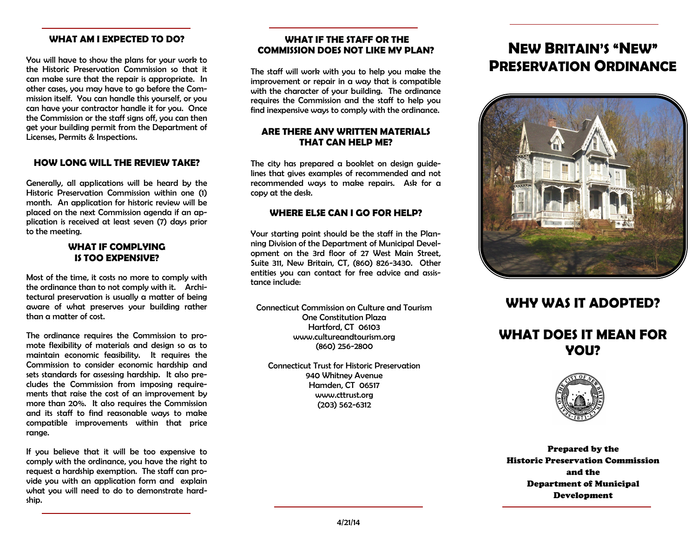### **WHAT AM I EXPECTED TO DO?**

You will have to show the plans for your work to the Historic Preservation Commission so that it can make sure that the repair is appropriate. In other cases, you may have to go before the Commission itself. You can handle this yourself, or you can have your contractor handle it for you. Once the Commission or the staff signs off, you can then get your building permit from the Department of Licenses, Permits & Inspections.

### **HOW LONG WILL THE REVIEW TAKE?**

Generally, all applications will be heard by the Historic Preservation Commission within one (1) month. An application for historic review will be placed on the next Commission agenda if an application is received at least seven (7) days prior to the meeting.

### **WHAT IF COMPLYING IS TOO EXPENSIVE?**

Most of the time, it costs no more to comply with the ordinance than to not comply with it. Architectural preservation is usually a matter of being aware of what preserves your building rather than a matter of cost.

The ordinance requires the Commission to promote flexibility of materials and design so as to maintain economic feasibility. It requires the Commission to consider economic hardship and sets standards for assessing hardship. It also precludes the Commission from imposing requirements that raise the cost of an improvement by more than 20%. It also requires the Commission and its staff to find reasonable ways to make compatible improvements within that price range.

If you believe that it will be too expensive to comply with the ordinance, you have the right to request a hardship exemption. The staff can provide you with an application form and explain what you will need to do to demonstrate hardship.

### **WHAT IF THE STAFF OR THE COMMISSION DOES NOT LIKE MY PLAN?**

The staff will work with you to help you make the improvement or repair in a way that is compatible with the character of your building. The ordinance requires the Commission and the staff to help you find inexpensive ways to comply with the ordinance.

### **ARE THERE ANY WRITTEN MATERIALS THAT CAN HELP ME?**

The city has prepared a booklet on design quidelines that gives examples of recommended and not recommended ways to make repairs. Ask for a copy at the desk.

### **WHERE ELSE CAN I GO FOR HELP?**

Your starting point should be the staff in the Planning Division of the Department of Municipal Development on the 3rd floor of 27 West Main Street, Suite 311, New Britain, CT, (860) 826-3430. Other entities you can contact for free advice and assistance include:

Connecticut Commission on Culture and Tourism One Constitution Plaza Hartford, CT 06103 www.cultureandtourism.org (860) 256-2800

Connecticut Trust for Historic Preservation 940 Whitney Avenue Hamden, CT 06517 www.cttrust.org (203) 562-6312

## **NEW BRITAIN'S "NEW" PRESERVATION ORDINANCE**



### **WHY WAS IT ADOPTED?**

## **WHAT DOES IT MEAN FOR YOU?**



Prepared by the Historic Preservation Commission and the Department of Municipal Development